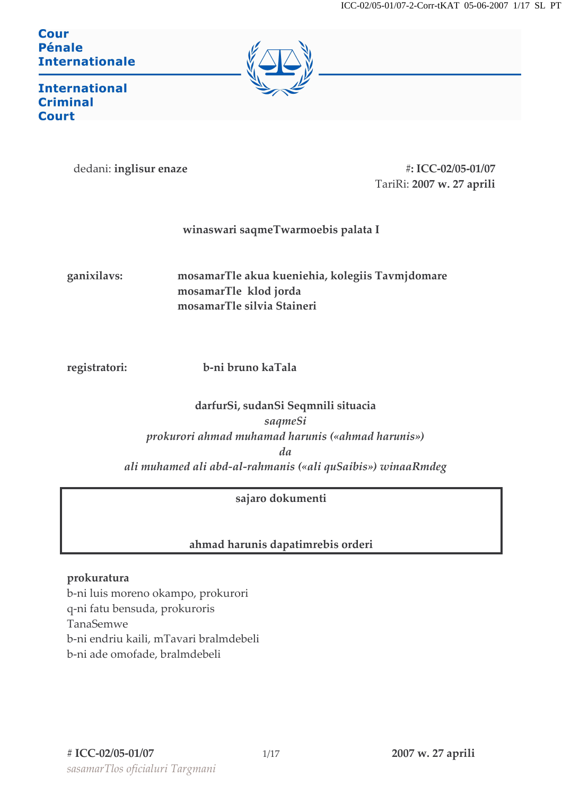Cour **Pénale Internationale** 



**International Criminal Court** 

dedani: inglisur enaze

#: ICC-02/05-01/07 TariRi: 2007 w. 27 aprili

# winaswari saqmeTwarmoebis palata I

ganixilavs: mosamarTle akua kueniehia, kolegiis Tavmjdomare mosamarTle klod jorda mosamarTle silvia Staineri

registratori:

b-ni bruno kaTala

# darfurSi, sudanSi Seqmnili situacia sagmeSi prokurori ahmad muhamad harunis («ahmad harunis»)  $da$ ali muhamed ali abd-al-rahmanis («ali quSaibis») winaaRmdeg

# sajaro dokumenti

# ahmad harunis dapatimrebis orderi

#### prokuratura

b-ni luis moreno okampo, prokurori q-ni fatu bensuda, prokuroris TanaSemwe b-ni endriu kaili, mTavari bralmdebeli b-ni ade omofade, bralmdebeli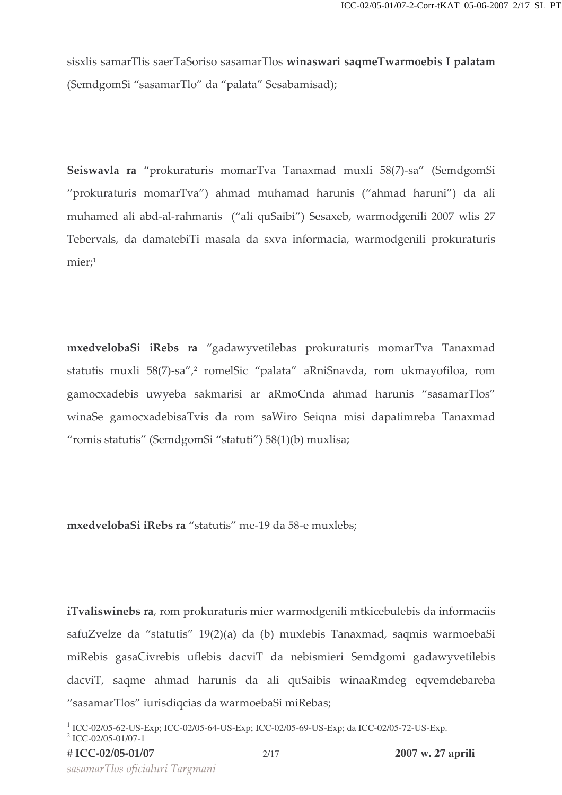sisxlis samarTlis saerTaSoriso sasamarTlos **winaswari saqmeTwarmoebis I palatam** (SemdgomSi "sasamarTlo" da "palata" Sesabamisad);

Seiswavla ra "prokuraturis momarTva Tanaxmad muxli 58(7)-sa" (SemdgomSi "prokuraturis momarTva") ahmad muhamad harunis ("ahmad haruni") da ali muhamed ali abd-al-rahmanis ("ali quSaibi") Sesaxeb, warmodgenili 2007 wlis 27 Tebervals, da damatebiTi masala da sxva informacia, warmodgenili prokuraturis  $mier;$ <sup>1</sup>

 ${\sf m}$ xedveloba ${\sf Si}$  i ${\sf Rebs}$  ra "gadawyvetilebas prokuraturis momar ${\rm T}$ va Tanaxmad statutis muxli 58(7)-sa″,<sup>2</sup> romelSic "palata" aRniSnavda, rom ukmayofiloa, rom gamocxadebis uwyeba sakmarisi ar aRmoCnda ahmad harunis "sasamarTlos" winaSe gamocxadebisaTvis da rom saWiro Seiqna misi dapatimreba Tanaxmad "romis statutis" (SemdgomSi "statuti") 58(1)(b) muxlisa;

**mxedvelobaSi iRebs ra** "statutis" me-19 da 58-e muxlebs;

**iTvaliswinebs ra**, rom prokuraturis mier warmodgenili mtkicebulebis da informaciis safuZvelze da "statutis" 19(2)(a) da (b) muxlebis Tanaxmad, saqmis warmoebaSi miRebis gasaCivrebis uflebis dacviT da nebismieri Semdgomi gadawyvetilebis dacviT, saqme ahmad harunis da ali quSaibis winaaRmdeg eqvemdebareba "sasamarTlos" iurisdiqcias da warmoebaSi miRebas;

sasamarTlos oficialuri Targmani

<sup>1</sup> ICC-02/05-62-US-Exp; ICC-02/05-64-US-Exp; ICC-02/05-69-US-Exp; da ICC-02/05-72-US-Exp.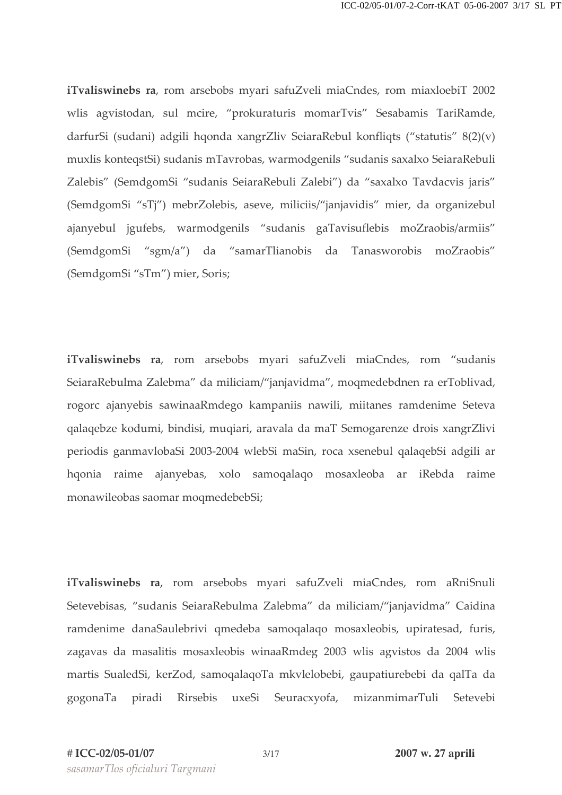iTvaliswinebs ra, rom arsebobs myari safuZveli miaCndes, rom miaxloebiT 2002 wlis agvistodan, sul mcire, "prokuraturis momarTvis" Sesabamis TariRamde, darfurSi (sudani) adgili hqonda xangrZliv SeiaraRebul konfliqts ("statutis" 8(2)(v) muxlis konteqstSi) sudanis mTavrobas, warmodgenils "sudanis saxalxo SeiaraRebuli Zalebis" (SemdgomSi "sudanis SeiaraRebuli Zalebi") da "saxalxo Tavdacvis jaris" (SemdgomSi "sTj") mebrZolebis, aseve, miliciis/"janjavidis" mier, da organizebul ajanyebul jgufebs, warmodgenils "sudanis gaTavisuflebis moZraobis/armiis" (SemdgomSi "sgm/a") da "samarTlianobis da Tanasworobis moZraobis" (SemdgomSi "sTm") mier, Soris;

iTvaliswinebs ra, rom arsebobs myari safuZveli miaCndes, rom "sudanis SeiaraRebulma Zalebma" da miliciam/"janjavidma", moqmedebdnen ra erToblivad, rogorc ajanyebis sawinaaRmdego kampaniis nawili, miitanes ramdenime Seteva galagebze kodumi, bindisi, mugiari, aravala da maT Semogarenze drois xangrZlivi periodis ganmavlobaSi 2003-2004 wlebSi maSin, roca xsenebul qalaqebSi adgili ar hqonia raime ajanyebas, xolo samoqalaqo mosaxleoba ar iRebda raime monawileobas saomar moqmedebebSi;

iTvaliswinebs ra, rom arsebobs myari safuZveli miaCndes, rom aRniSnuli Setevebisas, "sudanis SeiaraRebulma Zalebma" da miliciam/"janjavidma" Caidina ramdenime danaSaulebrivi qmedeba samoqalaqo mosaxleobis, upiratesad, furis, zagavas da masalitis mosaxleobis winaaRmdeg 2003 wlis agvistos da 2004 wlis martis SualedSi, kerZod, samoqalaqoTa mkvlelobebi, gaupatiurebebi da qalTa da gogonaTa piradi Rirsebis uxeSi Seuracxyofa, mizanmimarTuli Setevebi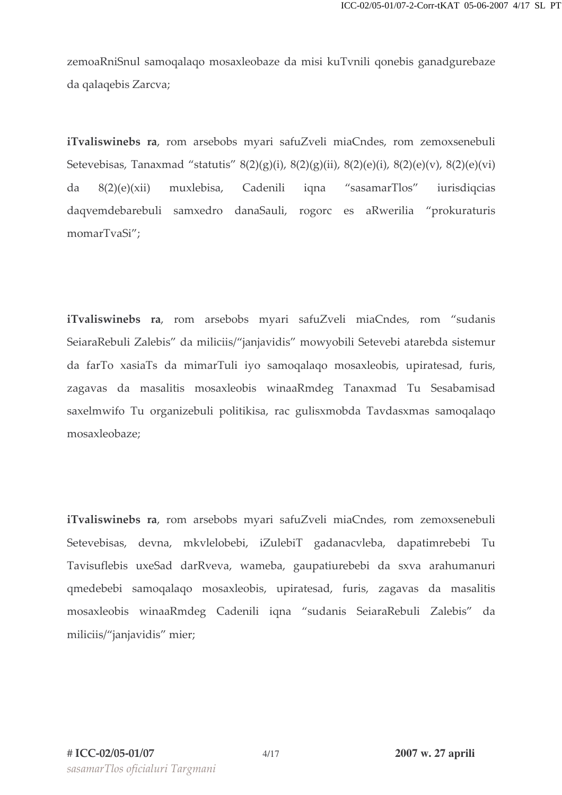zemoaRniSnul samoqalaqo mosaxleobaze da misi kuTvnili qonebis ganadgurebaze da qalaqebis Zarcva;

iTvaliswinebs ra, rom arsebobs myari safuZveli miaCndes, rom zemoxsenebuli Setevebisas, Tanaxmad "statutis"  $8(2)(g)(i)$ ,  $8(2)(g)(ii)$ ,  $8(2)(e)(i)$ ,  $8(2)(e)(v)$ ,  $8(2)(e)(vi)$ "sasamarTlos"  $da$  $8(2)(e)(xii)$ muxlebisa. Cadenili igna iurisdiqcias daqvemdebarebuli samxedro danaSauli, rogorc es aRwerilia "prokuraturis momarTvaSi";

iTvaliswinebs ra, rom arsebobs myari safuZveli miaCndes, rom "sudanis SeiaraRebuli Zalebis" da miliciis/"janjavidis" mowyobili Setevebi atarebda sistemur da farTo xasiaTs da mimarTuli iyo samoqalaqo mosaxleobis, upiratesad, furis, zagavas da masalitis mosaxleobis winaaRmdeg Tanaxmad Tu Sesabamisad saxelmwifo Tu organizebuli politikisa, rac gulisxmobda Tavdasxmas samoqalaqo mosaxleobaze:

iTvaliswinebs ra, rom arsebobs myari safuZveli miaCndes, rom zemoxsenebuli Setevebisas, devna, mkvlelobebi, iZulebiT gadanacvleba, dapatimrebebi Tu Tavisuflebis uxeSad darRveva, wameba, gaupatiurebebi da sxva arahumanuri qmedebebi samoqalaqo mosaxleobis, upiratesad, furis, zagavas da masalitis mosaxleobis winaaRmdeg Cadenili iqna "sudanis SeiaraRebuli Zalebis" da miliciis/"janjavidis" mier;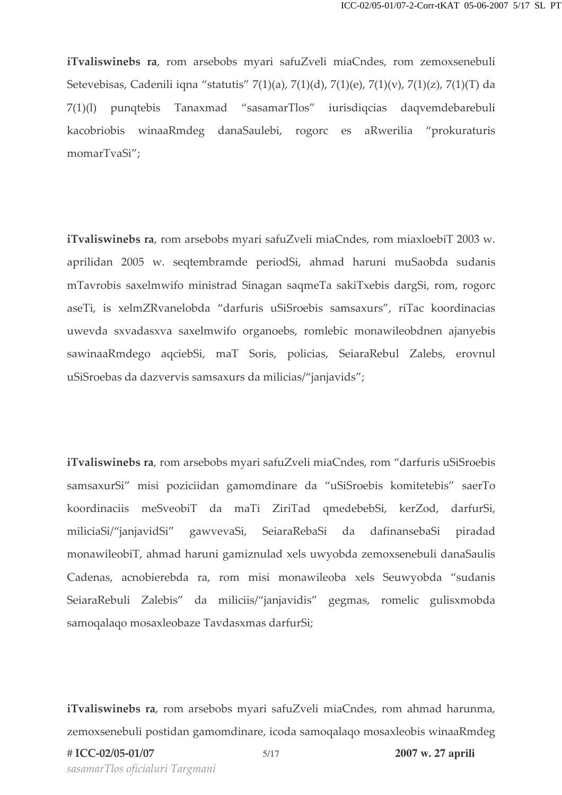iTvaliswinebs ra, rom arsebobs myari safuZveli miaCndes, rom zemoxsenebuli Setevebisas, Cadenili iqna "statutis" 7(1)(a), 7(1)(d), 7(1)(e), 7(1)(v), 7(1)(z), 7(1)(T) da 7(1)(l) punqtebis Tanaxmad "sasamarTlos" iurisdiqcias daqvemdebarebuli kacobriobis winaaRmdeg danaSaulebi, rogorc es aRwerilia "prokuraturis momarTvaSi";

iTvaliswinebs ra, rom arsebobs myari safuZveli miaCndes, rom miaxloebiT 2003 w. aprilidan 2005 w. seqtembramde periodSi, ahmad haruni muSaobda sudanis mTavrobis saxelmwifo ministrad Sinagan saqmeTa sakiTxebis dargSi, rom, rogorc aseTi, is xelmZRvanelobda "darfuris uSiSroebis samsaxurs", riTac koordinacias uwevda sxvadasxva saxelmwifo organoebs, romlebic monawileobdnen ajanyebis sawinaaRmdego aqciebSi, maT Soris, policias, SeiaraRebul Zalebs, erovnul uSiSroebas da dazvervis samsaxurs da milicias/"janjavids";

iTvaliswinebs ra, rom arsebobs myari safuZveli miaCndes, rom "darfuris uSiSroebis samsaxurSi" misi poziciidan gamomdinare da "uSiSroebis komitetebis" saerTo koordinaciis meSveobiT da maTi ZiriTad qmedebebSi, kerZod, darfurSi, miliciaSi/"janjavidSi" gawvevaSi, SeiaraRebaSi da dafinansebaSi piradad monawileobiT, ahmad haruni gamiznulad xels uwyobda zemoxsenebuli danaSaulis Cadenas, acnobierebda ra, rom misi monawileoba xels Seuwyobda "sudanis SeiaraRebuli Zalebis" da miliciis/"janjavidis" gegmas, romelic gulisxmobda samoqalaqo mosaxleobaze Tavdasxmas darfurSi;

iTvaliswinebs ra, rom arsebobs myari safuZveli miaCndes, rom ahmad harunma, zemoxsenebuli postidan gamomdinare, icoda samoqalaqo mosaxleobis winaaRmdeg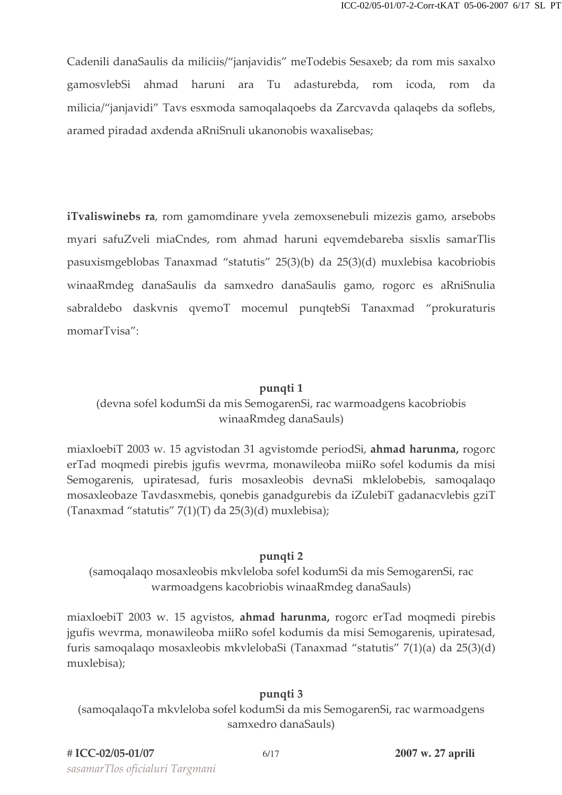Cadenili danaSaulis da miliciis/"janjavidis" meTodebis Sesaxeb; da rom mis saxalxo gamosvlebSi ahmad haruni ara Tu adasturebda, rom icoda, rom da milicia/"janjavidi" Tavs esxmoda samoqalaqoebs da Zarcvavda qalaqebs da soflebs, aramed piradad axdenda aRniSnuli ukanonobis waxalisebas;

iTvaliswinebs ra, rom gamomdinare yvela zemoxsenebuli mizezis gamo, arsebobs myari safuZveli miaCndes, rom ahmad haruni eqvemdebareba sisxlis samarTlis pasuxismgeblobas Tanaxmad "statutis" 25(3)(b) da 25(3)(d) muxlebisa kacobriobis winaaRmdeg danaSaulis da samxedro danaSaulis gamo, rogorc es aRniSnulia sabraldebo daskvnis qvemoT mocemul punqtebSi Tanaxmad "prokuraturis momarTvisa":

#### punqti 1

# (devna sofel kodumSi da mis SemogarenSi, rac warmoadgens kacobriobis winaaRmdeg danaSauls)

miaxloebiT 2003 w. 15 agvistodan 31 agvistomde periodSi, ahmad harunma, rogord erTad moqmedi pirebis jgufis wevrma, monawileoba miiRo sofel kodumis da misi Semogarenis, upiratesad, furis mosaxleobis devnaSi mklelobebis, samoqalaqo mosaxleobaze Tavdasxmebis, qonebis ganadgurebis da iZulebiT gadanacvlebis gziT (Tanaxmad "statutis" 7(1)(T) da 25(3)(d) muxlebisa);

#### pungti 2

(samoqalaqo mosaxleobis mkvleloba sofel kodumSi da mis SemogarenSi, rac warmoadgens kacobriobis winaaRmdeg danaSauls)

miaxloebiT 2003 w. 15 agvistos, ahmad harunma, rogorc erTad moqmedi pirebis jgufis wevrma, monawileoba miiRo sofel kodumis da misi Semogarenis, upiratesad, furis samoqalaqo mosaxleobis mkvlelobaSi (Tanaxmad "statutis" 7(1)(a) da 25(3)(d) muxlebisa);

#### pungti 3

(samoqalaqoTa mkvleloba sofel kodumSi da mis SemogarenSi, rac warmoadgens samxedro danaSauls)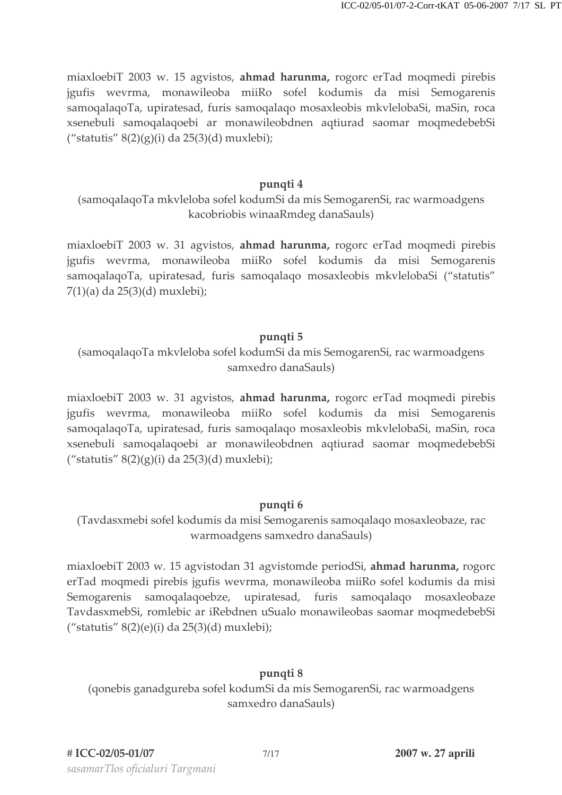miaxloebiT 2003 w. 15 agvistos, ahmad harunma, rogorc erTad moqmedi pirebis jgufis wevrma, monawileoba miiRo sofel kodumis da misi Semogarenis samoqalaqoTa, upiratesad, furis samoqalaqo mosaxleobis mkvlelobaSi, maSin, roca xsenebuli samoqalaqoebi ar monawileobdnen aqtiurad saomar moqmedebebSi ("statutis"  $8(2)(g)(i)$  da  $25(3)(d)$  muxlebi);

#### pungti 4

(samoqalaqoTa mkvleloba sofel kodumSi da mis SemogarenSi, rac warmoadgens kacobriobis winaaRmdeg danaSauls)

miaxloebiT 2003 w. 31 agvistos, ahmad harunma, rogorc erTad moqmedi pirebis jgufis wevrma, monawileoba miiRo sofel kodumis da misi Semogarenis samoqalaqoTa, upiratesad, furis samoqalaqo mosaxleobis mkvlelobaSi ("statutis"  $7(1)(a)$  da  $25(3)(d)$  muxlebi);

#### pungti 5

(samoqalaqoTa mkvleloba sofel kodumSi da mis SemogarenSi, rac warmoadgens samxedro danaSauls)

miaxloebiT 2003 w. 31 agvistos, ahmad harunma, rogorc erTad moqmedi pirebis jgufis wevrma, monawileoba miiRo sofel kodumis da misi Semogarenis samoqalaqoTa, upiratesad, furis samoqalaqo mosaxleobis mkvlelobaSi, maSin, roca xsenebuli samoqalaqoebi ar monawileobdnen aqtiurad saomar moqmedebebSi ("statutis"  $8(2)(g)(i)$  da  $25(3)(d)$  muxlebi);

#### pungti 6

(Tavdasxmebi sofel kodumis da misi Semogarenis samoqalaqo mosaxleobaze, rac warmoadgens samxedro danaSauls)

miaxloebiT 2003 w. 15 agvistodan 31 agvistomde periodSi, ahmad harunma, rogorc erTad moqmedi pirebis jgufis wevrma, monawileoba miiRo sofel kodumis da misi Semogarenis samogalagoebze, upiratesad, furis samogalago mosaxleobaze TavdasxmebSi, romlebic ar iRebdnen uSualo monawileobas saomar moqmedebebSi ("statutis"  $8(2)(e)(i)$  da  $25(3)(d)$  muxlebi);

# pungti 8

(qonebis ganadgureba sofel kodumSi da mis SemogarenSi, rac warmoadgens samxedro danaSauls)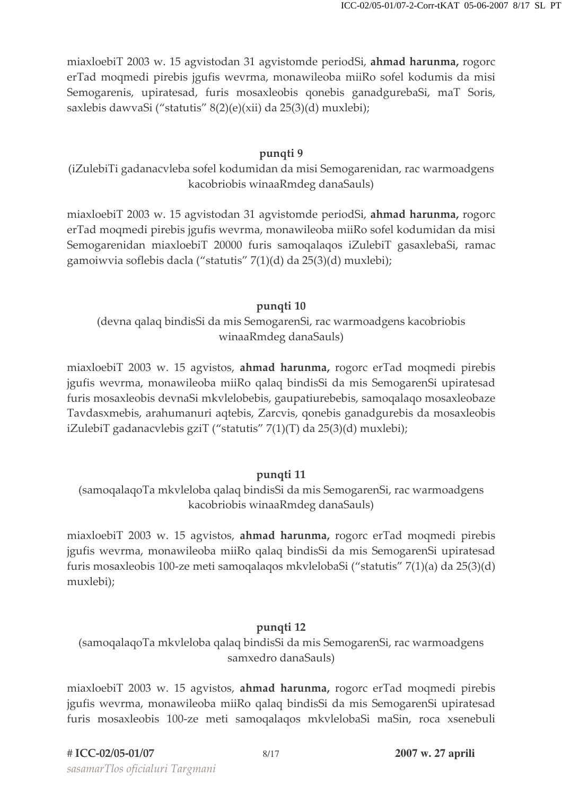miaxloebiT 2003 w. 15 agvistodan 31 agvistomde periodSi, ahmad harunma, rogorc erTad mogmedi pirebis jgufis wevrma, monawileoba mijo sofel kodumis da misi Semogarenis, upiratesad, furis mosaxleobis qonebis ganadgurebaSi, maT Soris, saxlebis dawyaSi ("statutis" 8(2)(e)(xii) da 25(3)(d) muxlebi);

# pungti 9

(iZulebiTi gadanacvleba sofel kodumidan da misi Semogarenidan, rac warmoadgens kacobriobis winaaRmdeg danaSauls)

miaxloebiT 2003 w. 15 agvistodan 31 agvistomde periodSi, ahmad harunma, rogorc erTad moqmedi pirebis jgufis wevrma, monawileoba miiRo sofel kodumidan da misi Semogarenidan miaxloebiT 20000 furis samoqalaqos iZulebiT gasaxlebaSi, ramac gamoiwvia soflebis dacla ("statutis" 7(1)(d) da 25(3)(d) muxlebi);

# pungti 10

(devna qalaq bindisSi da mis SemogarenSi, rac warmoadgens kacobriobis winaaRmdeg danaSauls)

miaxloebiT 2003 w. 15 agvistos, ahmad harunma, rogorc erTad moqmedi pirebis jgufis wevrma, monawileoba miiRo qalaq bindisSi da mis SemogarenSi upiratesad furis mosaxleobis devnaSi mkvlelobebis, gaupatiurebebis, samoqalaqo mosaxleobaze Tavdasxmebis, arahumanuri aqtebis, Zarcvis, qonebis ganadgurebis da mosaxleobis iZulebiT gadanacvlebis gziT ("statutis" 7(1)(T) da 25(3)(d) muxlebi);

# pungti 11

(samoqalaqoTa mkvleloba qalaq bindisSi da mis SemogarenSi, rac warmoadgens kacobriobis winaaRmdeg danaSauls)

miaxloebiT 2003 w. 15 agyistos, **ahmad harunma**, rogorc erTad moqmedi pirebis jgufis wevrma, monawileoba miiRo qalaq bindisSi da mis SemogarenSi upiratesad furis mosaxleobis 100-ze meti samoqalaqos mkvlelobaSi ("statutis" 7(1)(a) da 25(3)(d) muxlebi);

# pungti 12

(samoqalaqoTa mkvleloba qalaq bindisSi da mis SemogarenSi, rac warmoadgens samxedro danaSauls)

miaxloebiT 2003 w. 15 agvistos, ahmad harunma, rogorc erTad moqmedi pirebis jgufis wevrma, monawileoba miiRo qalaq bindisSi da mis SemogarenSi upiratesad furis mosaxleobis 100-ze meti samoqalaqos mkvlelobaSi maSin, roca xsenebuli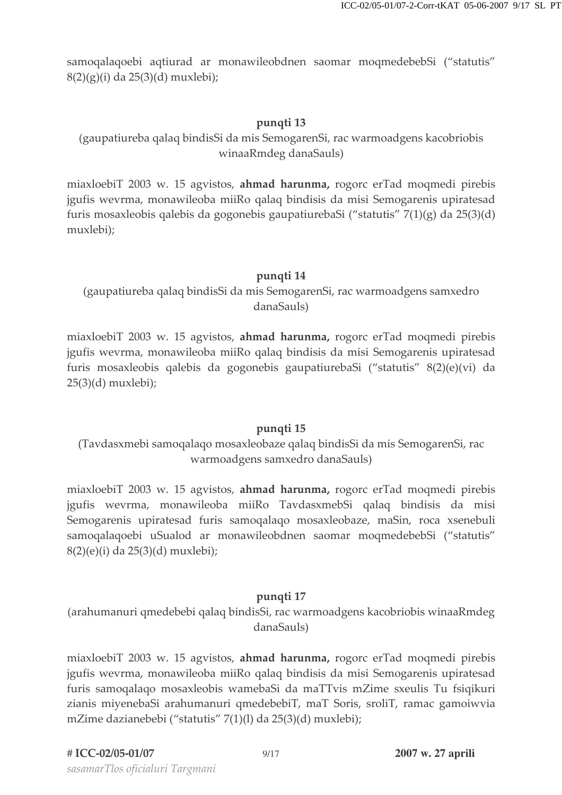samoqalaqoebi aqtiurad ar monawileobdnen saomar moqmedebebSi ("statutis"  $8(2)(g)(i)$  da  $25(3)(d)$  muxlebi);

### pungti 13

# (gaupatiureba qalaq bindisSi da mis SemogarenSi, rac warmoadgens kacobriobis winaaRmdeg danaSauls)

miaxloebiT 2003 w. 15 agvistos, ahmad harunma, rogorc erTad moqmedi pirebis jgufis wevrma, monawileoba miiRo qalaq bindisis da misi Semogarenis upiratesad furis mosaxleobis qalebis da gogonebis gaupatiurebaSi ("statutis"  $7(1)(g)$  da  $25(3)(d)$ muxlebi);

### pungti 14

(gaupatiureba qalaq bindisSi da mis SemogarenSi, rac warmoadgens samxedro danaSauls)

miaxloebiT 2003 w. 15 agvistos, ahmad harunma, rogorc erTad moqmedi pirebis jgufis wevrma, monawileoba miiRo qalaq bindisis da misi Semogarenis upiratesad furis mosaxleobis qalebis da gogonebis gaupatiurebaSi ("statutis" 8(2)(e)(vi) da  $25(3)(d)$  muxlebi);

# pungti 15

# (Tavdasxmebi samoqalaqo mosaxleobaze qalaq bindisSi da mis SemogarenSi, rac warmoadgens samxedro danaSauls)

miaxloebiT 2003 w. 15 agvistos, ahmad harunma, rogorc erTad moqmedi pirebis jgufis wevrma, monawileoba miiRo TavdasxmebSi qalaq bindisis da misi Semogarenis upiratesad furis samoqalaqo mosaxleobaze, maSin, roca xsenebuli samoqalaqoebi uSualod ar monawileobdnen saomar moqmedebebSi ("statutis" 8(2)(e)(i) da 25(3)(d) muxlebi);

#### pungti 17

(arahumanuri qmedebebi qalaq bindisSi, rac warmoadgens kacobriobis winaaRmdeg danaSauls)

miaxloebiT 2003 w. 15 agvistos, **ahmad harunma**, rogorc erTad moqmedi pirebis jgufis wevrma, monawileoba miiRo qalaq bindisis da misi Semogarenis upiratesad furis samogalago mosaxleobis wamebaSi da maTTvis mZime sxeulis Tu fsigikuri zianis miyenebaSi arahumanuri qmedebebiT, maT Soris, sroliT, ramac gamoiwvia mZime dazianebebi ("statutis" 7(1)(l) da 25(3)(d) muxlebi);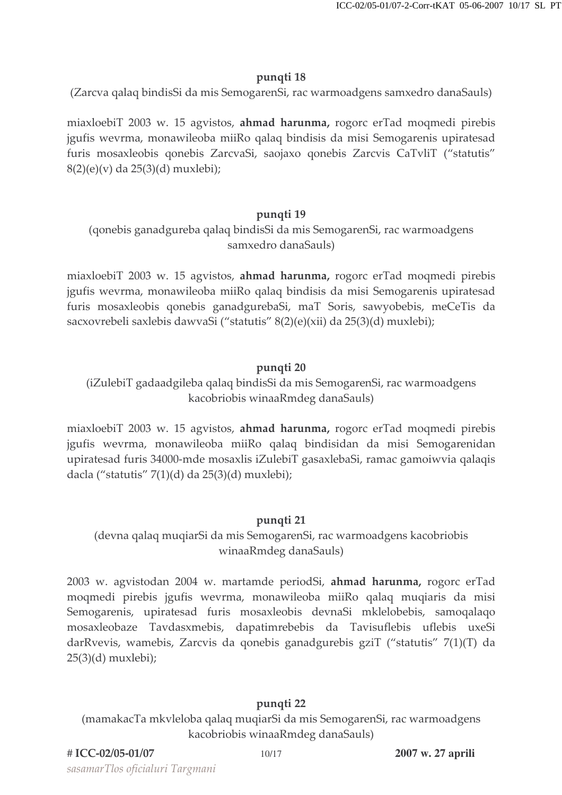### pungti 18

(Zarcva qalaq bindisSi da mis SemogarenSi, rac warmoadgens samxedro danaSauls)

miaxloebiT 2003 w. 15 agvistos, ahmad harunma, rogorc erTad moqmedi pirebis jgufis wevrma, monawileoba miiRo qalaq bindisis da misi Semogarenis upiratesad furis mosaxleobis qonebis ZarcvaSi, saojaxo qonebis Zarcvis CaTvliT ("statutis" 8(2)(e)(v) da 25(3)(d) muxlebi);

### pungti 19

(qonebis ganadgureba qalaq bindisSi da mis SemogarenSi, rac warmoadgens samxedro danaSauls)

miaxloebiT 2003 w. 15 agyistos, **ahmad harunma**, rogorc erTad moqmedi pirebis jgufis wevrma, monawileoba miiRo qalaq bindisis da misi Semogarenis upiratesad furis mosaxleobis qonebis ganadgurebaSi, maT Soris, sawyobebis, meCeTis da sacxovrebeli saxlebis dawyaSi ("statutis" 8(2)(e)(xii) da 25(3)(d) muxlebi);

# pungti 20

(iZulebiT gadaadgileba qalaq bindisSi da mis SemogarenSi, rac warmoadgens kacobriobis winaaRmdeg danaSauls)

miaxloebiT 2003 w. 15 agvistos, **ahmad harunma**, rogorc erTad moqmedi pirebis jgufis wevrma, monawileoba miiRo qalaq bindisidan da misi Semogarenidan upiratesad furis 34000-mde mosaxlis iZulebiT gasaxlebaSi, ramac gamoiwvia qalaqis dacla ("statutis" 7(1)(d) da 25(3)(d) muxlebi);

# pungti 21

# (devna qalaq muqiarSi da mis SemogarenSi, rac warmoadgens kacobriobis winaaRmdeg danaSauls)

2003 w. agvistodan 2004 w. martamde periodSi, ahmad harunma, rogorc erTad moqmedi pirebis jgufis wevrma, monawileoba miiRo qalaq muqiaris da misi Semogarenis, upiratesad furis mosaxleobis devnaSi mklelobebis, samoqalaqo mosaxleobaze Tavdasxmebis, dapatimrebebis da Tavisuflebis uflebis uxeSi darRvevis, wamebis, Zarcvis da qonebis ganadgurebis gziT ("statutis" 7(1)(T) da  $25(3)(d)$  muxlebi);

# pungti 22

(mamakacTa mkvleloba qalaq muqiarSi da mis SemogarenSi, rac warmoadgens kacobriobis winaaRmdeg danaSauls)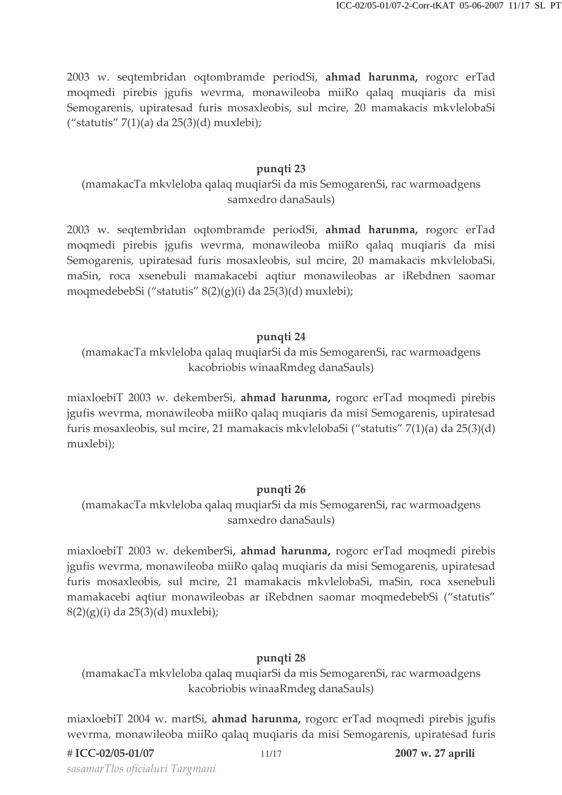2003 w. seqtembridan oqtombramde periodSi, ahmad harunma, rogorc erTad moqmedi pirebis jgufis wevrma, monawileoba miiRo qalaq muqiaris da misi Semogarenis, upiratesad furis mosaxleobis, sul mcire, 20 mamakacis mkvlelobaSi ("statutis" 7(1)(a) da  $25(3)(d)$  muxlebi);

#### pungti 23

(mamakacTa mkvleloba qalaq muqiarSi da mis SemogarenSi, rac warmoadgens samxedro danaSauls)

2003 w. seqtembridan oqtombramde periodSi, ahmad harunma, rogorc erTad moqmedi pirebis jgufis wevrma, monawileoba miiRo qalaq muqiaris da misi Semogarenis, upiratesad furis mosaxleobis, sul mcire, 20 mamakacis mkvlelobaSi, maSin, roca xsenebuli mamakacebi aqtiur monawileobas ar iRebdnen saomar moqmedebebSi ("statutis" 8(2)(g)(i) da 25(3)(d) muxlebi);

### pungti 24

(mamakacTa mkvleloba qalaq muqiarSi da mis SemogarenSi, rac warmoadgens kacobriobis winaaRmdeg danaSauls)

miaxloebiT 2003 w. dekemberSi, ahmad harunma, rogorc erTad moqmedi pirebis jgufis wevrma, monawileoba miiRo qalaq muqiaris da misi Semogarenis, upiratesad furis mosaxleobis, sul mcire, 21 mamakacis mkvlelobaSi ("statutis" 7(1)(a) da 25(3)(d) muxlebi);

#### pungti 26

(mamakacTa mkvleloba qalaq muqiarSi da mis SemogarenSi, rac warmoadgens samxedro danaSauls)

miaxloebiT 2003 w. dekemberSi, ahmad harunma, rogorc erTad moqmedi pirebis jgufis wevrma, monawileoba miiRo qalaq muqiaris da misi Semogarenis, upiratesad furis mosaxleobis, sul mcire, 21 mamakacis mkvlelobaSi, maSin, roca xsenebuli mamakacebi aqtiur monawileobas ar iRebdnen saomar moqmedebebSi ("statutis"  $8(2)(g)(i)$  da  $25(3)(d)$  muxlebi);

#### pungti 28

(mamakacTa mkvleloba qalaq muqiarSi da mis SemogarenSi, rac warmoadgens kacobriobis winaaRmdeg danaSauls)

miaxloebiT 2004 w. martSi, ahmad harunma, rogorc erTad moqmedi pirebis jgufis wevrma, monawileoba miiRo qalaq muqiaris da misi Semogarenis, upiratesad furis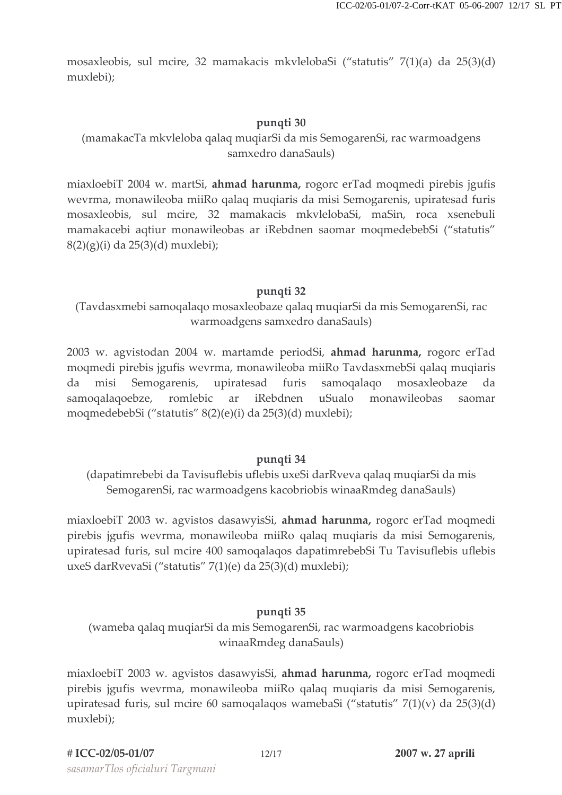mosaxleobis, sul mcire, 32 mamakacis mkvlelobaSi ("statutis" 7(1)(a) da 25(3)(d) muxlebi);

### pungti 30

# (mamakacTa mkvleloba qalaq muqiarSi da mis SemogarenSi, rac warmoadgens samxedro danaSauls)

miaxloebiT 2004 w. martSi, ahmad harunma, rogorc erTad moqmedi pirebis jgufis wevrma, monawileoba miiRo qalaq muqiaris da misi Semogarenis, upiratesad furis mosaxleobis, sul mcire, 32 mamakacis mkvlelobaSi, maSin, roca xsenebuli mamakacebi aqtiur monawileobas ar iRebdnen saomar moqmedebebSi ("statutis"  $8(2)(g)(i)$  da  $25(3)(d)$  muxlebi);

#### pungti 32

(Tavdasxmebi samoqalaqo mosaxleobaze qalaq muqiarSi da mis SemogarenSi, rac warmoadgens samxedro danaSauls)

2003 w. agvistodan 2004 w. martamde periodSi, ahmad harunma, rogorc erTad mogmedi pirebis įgufis wevrma, monawileoba mijko TavdasxmebSi galag mugiaris misi Semogarenis, upiratesad furis samoqalaqo mosaxleobaze da da romlebic iRebdnen uSualo monawileobas samoqalaqoebze, ar saomar moqmedebebSi ("statutis" 8(2)(e)(i) da 25(3)(d) muxlebi);

#### pungti 34

(dapatimrebebi da Tavisuflebis uflebis uxeSi darRveva qalaq muqiarSi da mis SemogarenSi, rac warmoadgens kacobriobis winaaRmdeg danaSauls)

miaxloebiT 2003 w. agvistos dasawyisSi, ahmad harunma, rogorc erTad moqmedi pirebis jgufis wevrma, monawileoba miiRo qalaq muqiaris da misi Semogarenis, upiratesad furis, sul mcire 400 samoqalaqos dapatimrebebSi Tu Tavisuflebis uflebis uxeS darRvevaSi ("statutis" 7(1)(e) da 25(3)(d) muxlebi);

# pungti 35

(wameba qalaq muqiarSi da mis SemogarenSi, rac warmoadgens kacobriobis winaaRmdeg danaSauls)

miaxloebiT 2003 w. agvistos dasawyisSi, ahmad harunma, rogorc erTad moqmedi pirebis jgufis wevrma, monawileoba miiRo qalaq muqiaris da misi Semogarenis, upiratesad furis, sul mcire 60 samoqalaqos wamebaSi ("statutis"  $7(1)(v)$  da  $25(3)(d)$ muxlebi);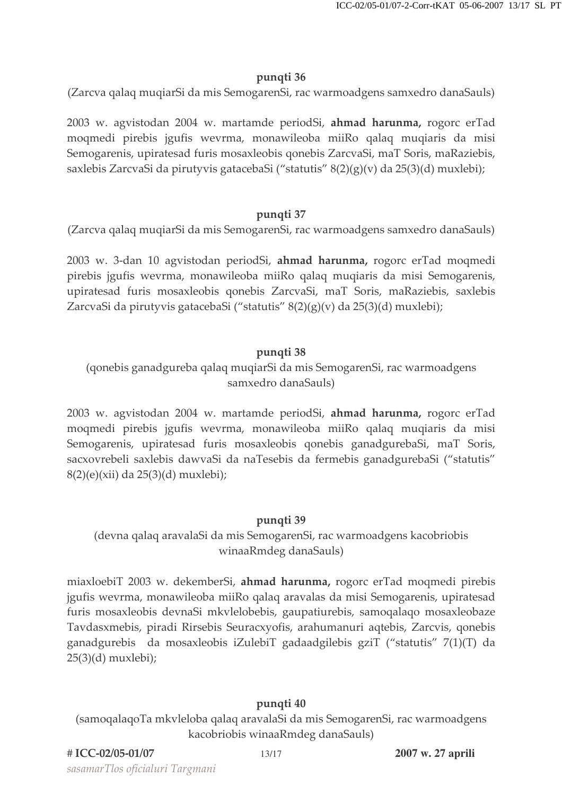#### pungti 36

(Zarcva qalaq muqiarSi da mis SemogarenSi, rac warmoadgens samxedro danaSauls)

2003 w. agvistodan 2004 w. martamde periodSi, ahmad harunma, rogorc erTad moqmedi pirebis jgufis wevrma, monawileoba miiRo qalaq muqiaris da misi Semogarenis, upiratesad furis mosaxleobis qonebis ZarcvaSi, maT Soris, maRaziebis, saxlebis ZarcvaSi da pirutyvis gatacebaSi ("statutis" 8(2)(g)(v) da 25(3)(d) muxlebi);

### pungti 37

(Zarcva qalaq muqiarSi da mis SemogarenSi, rac warmoadgens samxedro danaSauls)

2003 w. 3-dan 10 agvistodan periodSi, ahmad harunma, rogorc erTad moqmedi pirebis jgufis wevrma, monawileoba miiRo qalaq muqiaris da misi Semogarenis, upiratesad furis mosaxleobis qonebis ZarcvaSi, maT Soris, maRaziebis, saxlebis ZarcvaSi da pirutyvis gatacebaSi ("statutis" 8(2)(g)(v) da 25(3)(d) muxlebi);

### pungti 38

# (qonebis ganadgureba qalaq muqiarSi da mis SemogarenSi, rac warmoadgens samxedro danaSauls)

2003 w. agvistodan 2004 w. martamde periodSi, ahmad harunma, rogorc erTad moqmedi pirebis jgufis wevrma, monawileoba miiRo qalaq muqiaris da misi Semogarenis, upiratesad furis mosaxleobis qonebis ganadgurebaSi, maT Soris, sacxovrebeli saxlebis dawyaSi da naTesebis da fermebis ganadgurebaSi ("statutis" 8(2)(e)(xii) da 25(3)(d) muxlebi);

# pungti 39

# (devna qalaq aravalaSi da mis SemogarenSi, rac warmoadgens kacobriobis winaaRmdeg danaSauls)

miaxloebiT 2003 w. dekemberSi, ahmad harunma, rogorc erTad moqmedi pirebis jgufis wevrma, monawileoba miiRo qalaq aravalas da misi Semogarenis, upiratesad furis mosaxleobis devnaSi mkvlelobebis, gaupatiurebis, samoqalaqo mosaxleobaze Tavdasxmebis, piradi Rirsebis Seuracxyofis, arahumanuri aqtebis, Zarcvis, qonebis ganadgurebis da mosaxleobis iZulebiT gadaadgilebis gziT ("statutis" 7(1)(T) da  $25(3)(d)$  muxlebi);

# pungti 40

(samoqalaqoTa mkvleloba qalaq aravalaSi da mis SemogarenSi, rac warmoadgens kacobriobis winaaRmdeg danaSauls)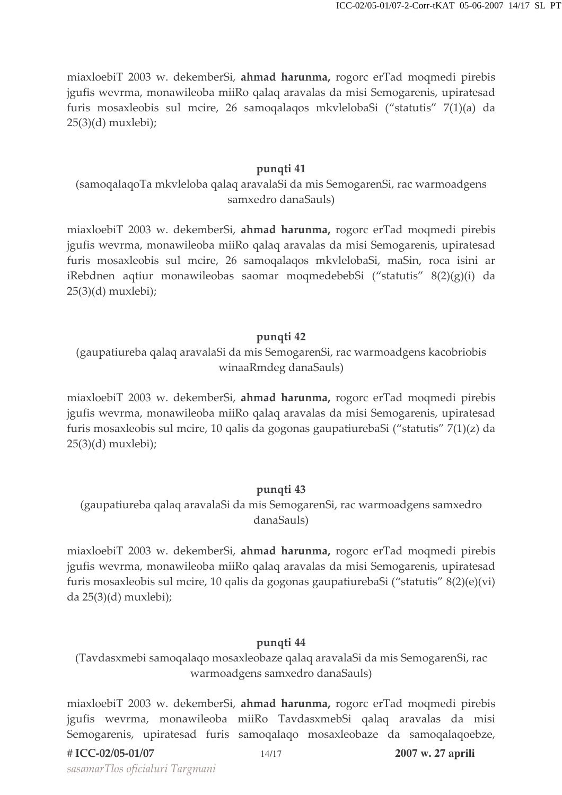miaxloebiT 2003 w. dekemberSi, ahmad harunma, rogorc erTad moqmedi pirebis jgufis wevrma, monawileoba miiRo qalaq aravalas da misi Semogarenis, upiratesad furis mosaxleobis sul mcire, 26 samoqalaqos mkvlelobaSi ("statutis" 7(1)(a) da  $25(3)(d)$  muxlebi);

#### punqti 41

(samoqalaqoTa mkvleloba qalaq aravalaSi da mis SemogarenSi, rac warmoadgens samxedro danaSauls)

miaxloebiT 2003 w. dekemberSi, ahmad harunma, rogorc erTad moqmedi pirebis jgufis wevrma, monawileoba miiRo qalaq aravalas da misi Semogarenis, upiratesad furis mosaxleobis sul mcire, 26 samoqalaqos mkvlelobaSi, maSin, roca isini ar iRebdnen aqtiur monawileobas saomar moqmedebebSi ("statutis" 8(2)(g)(i) da  $25(3)(d)$  muxlebi);

#### pungti 42

(gaupatiureba qalaq aravalaSi da mis SemogarenSi, rac warmoadgens kacobriobis winaaRmdeg danaSauls)

miaxloebiT 2003 w. dekemberSi, ahmad harunma, rogorc erTad moqmedi pirebis jgufis wevrma, monawileoba miiRo qalaq aravalas da misi Semogarenis, upiratesad furis mosaxleobis sul mcire, 10 qalis da gogonas gaupatiurebaSi ("statutis" 7(1)(z) da  $25(3)(d)$  muxlebi);

#### pungti 43

(gaupatiureba qalaq aravalaSi da mis SemogarenSi, rac warmoadgens samxedro danaSauls)

miaxloebiT 2003 w. dekemberSi, ahmad harunma, rogorc erTad moqmedi pirebis jgufis wevrma, monawileoba miiRo qalaq aravalas da misi Semogarenis, upiratesad furis mosaxleobis sul mcire, 10 qalis da gogonas gaupatiurebaSi ("statutis" 8(2)(e)(vi) da 25(3)(d) muxlebi);

#### pungti 44

(Tavdasxmebi samoqalaqo mosaxleobaze qalaq aravalaSi da mis SemogarenSi, rac warmoadgens samxedro danaSauls)

miaxloebiT 2003 w. dekemberSi, ahmad harunma, rogorc erTad moqmedi pirebis jgufis wevrma, monawileoba miiRo TavdasxmebSi qalaq aravalas da misi Semogarenis, upiratesad furis samoqalaqo mosaxleobaze da samoqalaqoebze,

sasamarTlos oficialuri Targmani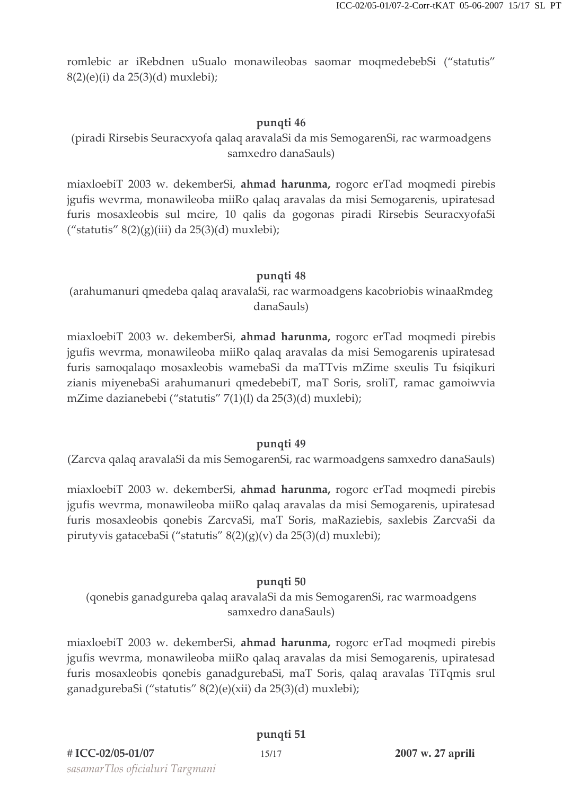romlebic ar iRebdnen uSualo monawileobas saomar moqmedebebSi ("statutis" 8(2)(e)(i) da 25(3)(d) muxlebi);

### pungti 46

(piradi Rirsebis Seuracxyofa qalaq aravalaSi da mis SemogarenSi, rac warmoadgens samxedro danaSauls)

miaxloebiT 2003 w. dekemberSi, ahmad harunma, rogorc erTad moqmedi pirebis jgufis wevrma, monawileoba miiRo qalaq aravalas da misi Semogarenis, upiratesad furis mosaxleobis sul mcire, 10 qalis da gogonas piradi Rirsebis SeuracxyofaSi ("statutis"  $8(2)(g)(iii)$  da  $25(3)(d)$  muxlebi);

### pungti 48

(arahumanuri qmedeba qalaq aravalaSi, rac warmoadgens kacobriobis winaaRmdeg danaSauls)

miaxloebiT 2003 w. dekemberSi, ahmad harunma, rogorc erTad moqmedi pirebis jgufis wevrma, monawileoba miiRo qalaq aravalas da misi Semogarenis upiratesad furis samoqalaqo mosaxleobis wamebaSi da maTTvis mZime sxeulis Tu fsiqikuri zianis miyenebaSi arahumanuri qmedebebiT, maT Soris, sroliT, ramac gamoiwvia mZime dazianebebi ("statutis" 7(1)(l) da 25(3)(d) muxlebi);

#### pungti 49

(Zarcva galag aravalaSi da mis SemogarenSi, rac warmoadgens samxedro danaSauls)

miaxloebiT 2003 w. dekemberSi, ahmad harunma, rogorc erTad moqmedi pirebis jgufis wevrma, monawileoba miiRo qalaq aravalas da misi Semogarenis, upiratesad furis mosaxleobis qonebis ZarcvaSi, maT Soris, maRaziebis, saxlebis ZarcvaSi da pirutyvis gatacebaSi ("statutis" 8(2)(g)(v) da 25(3)(d) muxlebi);

# punqti 50

(qonebis ganadgureba qalaq aravalaSi da mis SemogarenSi, rac warmoadgens samxedro danaSauls)

miaxloebiT 2003 w. dekemberSi, ahmad harunma, rogorc erTad moqmedi pirebis jgufis wevrma, monawileoba miiRo qalaq aravalas da misi Semogarenis, upiratesad furis mosaxleobis qonebis ganadgurebaSi, maT Soris, qalaq aravalas TiTqmis srul ganadgurebaSi ("statutis" 8(2)(e)(xii) da 25(3)(d) muxlebi);

# pungti 51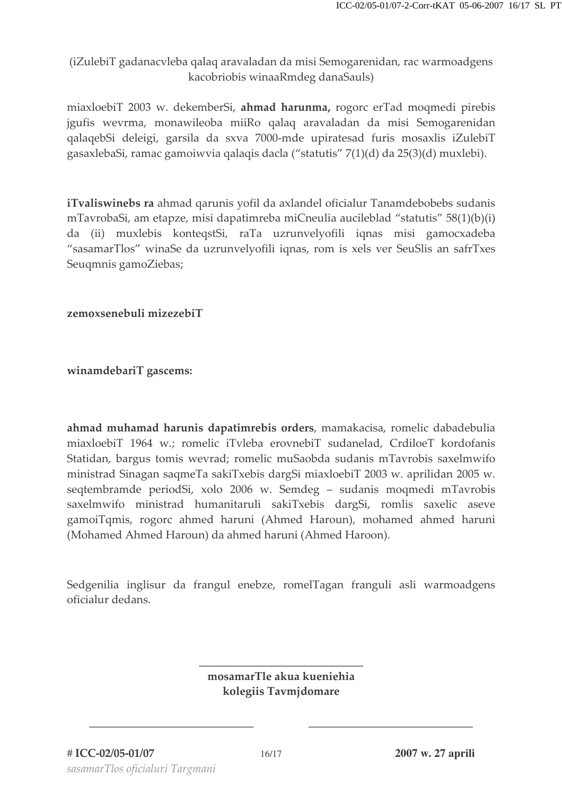(iZulebiT gadanacyleba qalaq aravaladan da misi Semogarenidan, rac warmoadgens kacobriobis winaaRmdeg danaSauls)

miaxloebiT 2003 w. dekemberSi, ahmad harunma, rogorc erTad moqmedi pirebis jgufis wevrma, monawileoba miiRo qalaq aravaladan da misi Semogarenidan qalaqebSi deleigi, garsila da sxva 7000-mde upiratesad furis mosaxlis iZulebiT gasaxlebaSi, ramac gamoiwvia qalaqis dacla ("statutis" 7(1)(d) da 25(3)(d) muxlebi).

iTvaliswinebs ra ahmad qarunis yofil da axlandel oficialur Tanamdebobebs sudanis mTavrobaSi, am etapze, misi dapatimreba miCneulia aucileblad "statutis" 58(1)(b)(i) da (ii) muxlebis konteqstSi, raTa uzrunvelyofili iqnas misi gamocxadeba "sasamarTlos" winaSe da uzrunvelyofili iqnas, rom is xels ver SeuSlis an safrTxes Seugmnis gamoZiebas;

zemoxsenebuli mizezebiT

winamdebariT gascems:

ahmad muhamad harunis dapatimrebis orders, mamakacisa, romelic dabadebulia miaxloebiT 1964 w.; romelic iTvleba erovnebiT sudanelad, CrdiloeT kordofanis Statidan, bargus tomis wevrad; romelic muSaobda sudanis mTavrobis saxelmwifo ministrad Sinagan saqmeTa sakiTxebis dargSi miaxloebiT 2003 w. aprilidan 2005 w. seqtembramde periodSi, xolo 2006 w. Semdeg - sudanis moqmedi mTavrobis saxelmwifo ministrad humanitaruli sakiTxebis dargSi, romlis saxelic aseve gamoiTqmis, rogorc ahmed haruni (Ahmed Haroun), mohamed ahmed haruni (Mohamed Ahmed Haroun) da ahmed haruni (Ahmed Haroon).

Sedgenilia inglisur da frangul enebze, romelTagan franguli asli warmoadgens oficialur dedans.

> mosamarTle akua kueniehia kolegiis Tavmjdomare